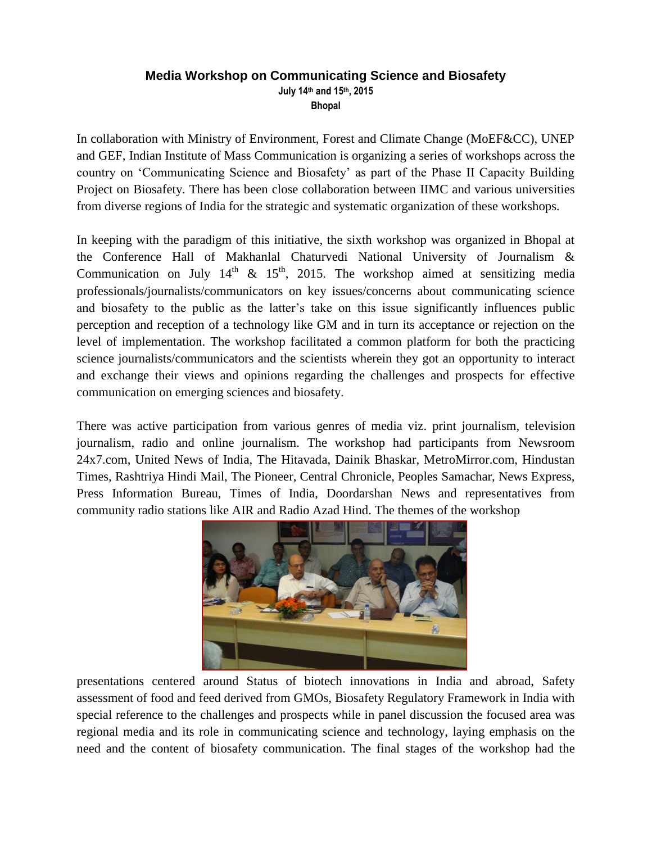## **Media Workshop on Communicating Science and Biosafety July 14th and 15th, 2015 Bhopal**

In collaboration with Ministry of Environment, Forest and Climate Change (MoEF&CC), UNEP and GEF, Indian Institute of Mass Communication is organizing a series of workshops across the country on 'Communicating Science and Biosafety' as part of the Phase II Capacity Building Project on Biosafety. There has been close collaboration between IIMC and various universities from diverse regions of India for the strategic and systematic organization of these workshops.

In keeping with the paradigm of this initiative, the sixth workshop was organized in Bhopal at the Conference Hall of Makhanlal Chaturvedi National University of Journalism & Communication on July  $14^{th}$  &  $15^{th}$ , 2015. The workshop aimed at sensitizing media professionals/journalists/communicators on key issues/concerns about communicating science and biosafety to the public as the latter's take on this issue significantly influences public perception and reception of a technology like GM and in turn its acceptance or rejection on the level of implementation. The workshop facilitated a common platform for both the practicing science journalists/communicators and the scientists wherein they got an opportunity to interact and exchange their views and opinions regarding the challenges and prospects for effective communication on emerging sciences and biosafety.

There was active participation from various genres of media viz. print journalism, television journalism, radio and online journalism. The workshop had participants from Newsroom 24x7.com, United News of India, The Hitavada, Dainik Bhaskar, MetroMirror.com, Hindustan Times, Rashtriya Hindi Mail, The Pioneer, Central Chronicle, Peoples Samachar, News Express, Press Information Bureau, Times of India, Doordarshan News and representatives from community radio stations like AIR and Radio Azad Hind. The themes of the workshop



presentations centered around Status of biotech innovations in India and abroad, Safety assessment of food and feed derived from GMOs, Biosafety Regulatory Framework in India with special reference to the challenges and prospects while in panel discussion the focused area was regional media and its role in communicating science and technology, laying emphasis on the need and the content of biosafety communication. The final stages of the workshop had the